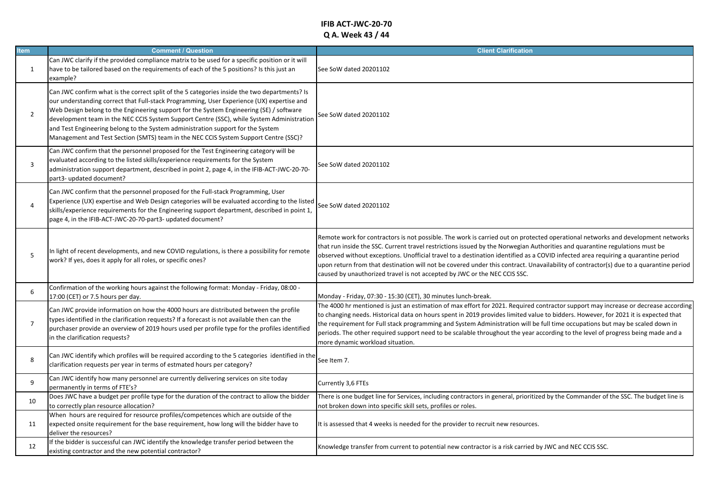## **IFIB ACT-JWC-20-70 Q A. Week 43 / 44**

| <b>Item</b>    | <b>Comment / Question</b>                                                                                                                                                                                                                                                                                                                                                                                                                                                                                                                                    | <b>Client Clarification</b>                                                                                                                                                                                                                                                                                                                                                                                                                                                                                                                                                                                               |
|----------------|--------------------------------------------------------------------------------------------------------------------------------------------------------------------------------------------------------------------------------------------------------------------------------------------------------------------------------------------------------------------------------------------------------------------------------------------------------------------------------------------------------------------------------------------------------------|---------------------------------------------------------------------------------------------------------------------------------------------------------------------------------------------------------------------------------------------------------------------------------------------------------------------------------------------------------------------------------------------------------------------------------------------------------------------------------------------------------------------------------------------------------------------------------------------------------------------------|
| 1              | Can JWC clarify if the provided compliance matrix to be used for a specific position or it will<br>have to be tailored based on the requirements of each of the 5 positions? Is this just an<br>example?                                                                                                                                                                                                                                                                                                                                                     | See SoW dated 20201102                                                                                                                                                                                                                                                                                                                                                                                                                                                                                                                                                                                                    |
| $\overline{2}$ | Can JWC confirm what is the correct split of the 5 categories inside the two departments? Is<br>our understanding correct that Full-stack Programming, User Experience (UX) expertise and<br>Web Design belong to the Engineering support for the System Engineering (SE) / software<br>development team in the NEC CCIS System Support Centre (SSC), while System Administration<br>and Test Engineering belong to the System administration support for the System<br>Management and Test Section (SMTS) team in the NEC CCIS System Support Centre (SSC)? | See SoW dated 20201102                                                                                                                                                                                                                                                                                                                                                                                                                                                                                                                                                                                                    |
| 3              | Can JWC confirm that the personnel proposed for the Test Engineering category will be<br>evaluated according to the listed skills/experience requirements for the System<br>administration support department, described in point 2, page 4, in the IFIB-ACT-JWC-20-70-<br>part3- updated document?                                                                                                                                                                                                                                                          | See SoW dated 20201102                                                                                                                                                                                                                                                                                                                                                                                                                                                                                                                                                                                                    |
| $\overline{a}$ | Can JWC confirm that the personnel proposed for the Full-stack Programming, User<br>Experience (UX) expertise and Web Design categories will be evaluated according to the listed<br>skills/experience requirements for the Engineering support department, described in point 1,<br>page 4, in the IFIB-ACT-JWC-20-70-part3- updated document?                                                                                                                                                                                                              | See SoW dated 20201102                                                                                                                                                                                                                                                                                                                                                                                                                                                                                                                                                                                                    |
| 5              | In light of recent developments, and new COVID regulations, is there a possibility for remote<br>work? If yes, does it apply for all roles, or specific ones?                                                                                                                                                                                                                                                                                                                                                                                                | Remote work for contractors is not possible. The work is carried out on protected operational networks and development networks<br>that run inside the SSC. Current travel restrictions issued by the Norwegian Authorities and quarantine regulations must be<br>observed without exceptions. Unofficial travel to a destination identified as a COVID infected area requiring a quarantine period<br>upon return from that destination will not be covered under this contract. Unavailability of contractor(s) due to a quarantine period<br>caused by unauthorized travel is not accepted by JWC or the NEC CCIS SSC. |
| 6              | Confirmation of the working hours against the following format: Monday - Friday, 08:00 -<br>17:00 (CET) or 7.5 hours per day.                                                                                                                                                                                                                                                                                                                                                                                                                                | Monday - Friday, 07:30 - 15:30 (CET), 30 minutes lunch-break.                                                                                                                                                                                                                                                                                                                                                                                                                                                                                                                                                             |
| $\overline{7}$ | Can JWC provide information on how the 4000 hours are distributed between the profile<br>types identified in the clarification requests? If a forecast is not available then can the<br>purchaser provide an overview of 2019 hours used per profile type for the profiles identified<br>in the clarification requests?                                                                                                                                                                                                                                      | The 4000 hr mentioned is just an estimation of max effort for 2021. Required contractor support may increase or decrease according<br>to changing needs. Historical data on hours spent in 2019 provides limited value to bidders. However, for 2021 it is expected that<br>the requirement for Full stack programming and System Administration will be full time occupations but may be scaled down in<br>periods. The other required support need to be scalable throughout the year according to the level of progress being made and a<br>more dynamic workload situation.                                           |
| 8              | Can JWC identify which profiles will be required according to the 5 categories identified in the<br>clarification requests per year in terms of estmated hours per category?                                                                                                                                                                                                                                                                                                                                                                                 | See Item 7.                                                                                                                                                                                                                                                                                                                                                                                                                                                                                                                                                                                                               |
| 9              | Can JWC identify how many personnel are currently delivering services on site today<br>permanently in terms of FTE's?                                                                                                                                                                                                                                                                                                                                                                                                                                        | Currently 3,6 FTEs                                                                                                                                                                                                                                                                                                                                                                                                                                                                                                                                                                                                        |
| 10             | Does JWC have a budget per profile type for the duration of the contract to allow the bidder<br>to correctly plan resource allocation?                                                                                                                                                                                                                                                                                                                                                                                                                       | There is one budget line for Services, including contractors in general, prioritized by the Commander of the SSC. The budget line is<br>not broken down into specific skill sets, profiles or roles.                                                                                                                                                                                                                                                                                                                                                                                                                      |
| 11             | When hours are required for resource profiles/competences which are outside of the<br>expected onsite requirement for the base requirement, how long will the bidder have to<br>deliver the resources?                                                                                                                                                                                                                                                                                                                                                       | It is assessed that 4 weeks is needed for the provider to recruit new resources.                                                                                                                                                                                                                                                                                                                                                                                                                                                                                                                                          |
| 12             | If the bidder is successful can JWC identify the knowledge transfer period between the<br>existing contractor and the new potential contractor?                                                                                                                                                                                                                                                                                                                                                                                                              | Knowledge transfer from current to potential new contractor is a risk carried by JWC and NEC CCIS SSC.                                                                                                                                                                                                                                                                                                                                                                                                                                                                                                                    |